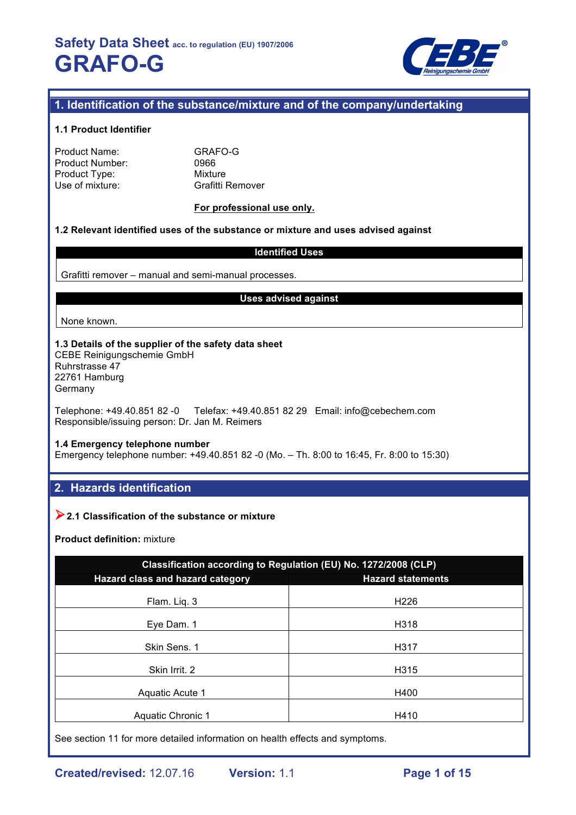

# **1. Identification of the substance/mixture and of the company/undertaking**

### **1.1 Product Identifier**

| <b>Product Name:</b> |  |
|----------------------|--|
| Product Number:      |  |
| Product Type:        |  |
| Use of mixture:      |  |

GRAFO-G 0966 **Mixture** Grafitti Remover

## **For professional use only.**

## **1.2 Relevant identified uses of the substance or mixture and uses advised against**

### **Identified Uses**

Grafitti remover – manual and semi-manual processes.

#### **Uses advised against**

None known.

#### **1.3 Details of the supplier of the safety data sheet** CEBE Reinigungschemie GmbH Ruhrstrasse 47 22761 Hamburg Germany

Telephone: +49.40.851 82 -0 Telefax: +49.40.851 82 29 Email: info@cebechem.com Responsible/issuing person: Dr. Jan M. Reimers

#### **1.4 Emergency telephone number**

Emergency telephone number: +49.40.851 82 -0 (Mo. – Th. 8:00 to 16:45, Fr. 8:00 to 15:30)

# **2. Hazards identification**

# !**2.1 Classification of the substance or mixture**

**Product definition:** mixture

| Classification according to Regulation (EU) No. 1272/2008 (CLP) |                          |  |  |  |
|-----------------------------------------------------------------|--------------------------|--|--|--|
| Hazard class and hazard category                                | <b>Hazard statements</b> |  |  |  |
| Flam. Liq. 3                                                    | H <sub>226</sub>         |  |  |  |
| Eye Dam. 1                                                      | H318                     |  |  |  |
| Skin Sens. 1                                                    | H317                     |  |  |  |
| Skin Irrit. 2                                                   | H315                     |  |  |  |
| Aquatic Acute 1                                                 | H400                     |  |  |  |
| <b>Aquatic Chronic 1</b>                                        | H410                     |  |  |  |

See section 11 for more detailed information on health effects and symptoms.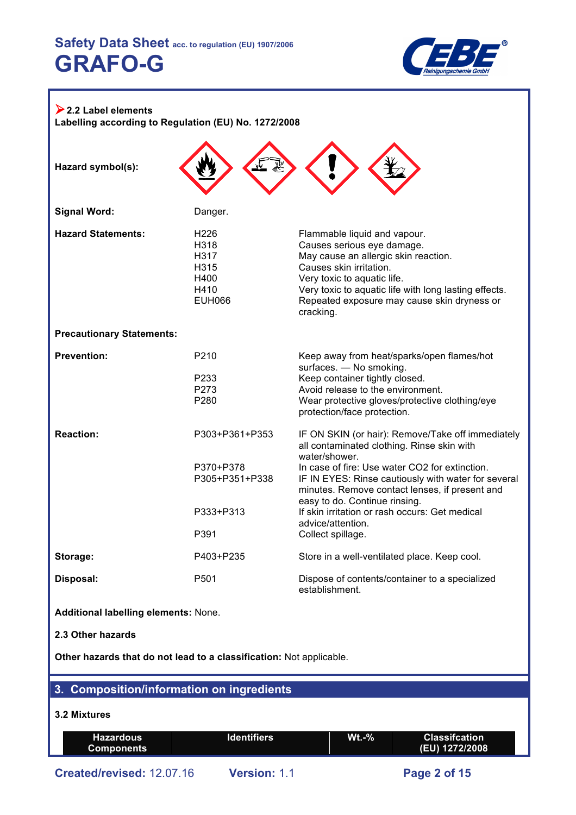

| $\geq$ 2.2 Label elements<br>Labelling according to Regulation (EU) No. 1272/2008 |                                                                    |                                                                                                                                                                                                                                                                                                                                                                                                          |  |  |  |
|-----------------------------------------------------------------------------------|--------------------------------------------------------------------|----------------------------------------------------------------------------------------------------------------------------------------------------------------------------------------------------------------------------------------------------------------------------------------------------------------------------------------------------------------------------------------------------------|--|--|--|
| Hazard symbol(s):                                                                 |                                                                    |                                                                                                                                                                                                                                                                                                                                                                                                          |  |  |  |
| <b>Signal Word:</b>                                                               | Danger.                                                            |                                                                                                                                                                                                                                                                                                                                                                                                          |  |  |  |
| <b>Hazard Statements:</b>                                                         | H226<br>H318<br>H317<br>H315<br>H400<br>H410<br><b>EUH066</b>      | Flammable liquid and vapour.<br>Causes serious eye damage.<br>May cause an allergic skin reaction.<br>Causes skin irritation.<br>Very toxic to aquatic life.<br>Very toxic to aquatic life with long lasting effects.<br>Repeated exposure may cause skin dryness or<br>cracking.                                                                                                                        |  |  |  |
| <b>Precautionary Statements:</b>                                                  |                                                                    |                                                                                                                                                                                                                                                                                                                                                                                                          |  |  |  |
| <b>Prevention:</b>                                                                | P210<br>P233<br>P273<br>P280                                       | Keep away from heat/sparks/open flames/hot<br>surfaces. - No smoking.<br>Keep container tightly closed.<br>Avoid release to the environment.<br>Wear protective gloves/protective clothing/eye<br>protection/face protection.                                                                                                                                                                            |  |  |  |
| <b>Reaction:</b>                                                                  | P303+P361+P353<br>P370+P378<br>P305+P351+P338<br>P333+P313<br>P391 | IF ON SKIN (or hair): Remove/Take off immediately<br>all contaminated clothing. Rinse skin with<br>water/shower.<br>In case of fire: Use water CO2 for extinction.<br>IF IN EYES: Rinse cautiously with water for several<br>minutes. Remove contact lenses, if present and<br>easy to do. Continue rinsing.<br>If skin irritation or rash occurs: Get medical<br>advice/attention.<br>Collect spillage. |  |  |  |
| Storage:                                                                          | P403+P235                                                          | Store in a well-ventilated place. Keep cool.                                                                                                                                                                                                                                                                                                                                                             |  |  |  |
| Disposal:                                                                         | P501                                                               | Dispose of contents/container to a specialized<br>establishment.                                                                                                                                                                                                                                                                                                                                         |  |  |  |
| Additional labelling elements: None.                                              |                                                                    |                                                                                                                                                                                                                                                                                                                                                                                                          |  |  |  |
| 2.3 Other hazards                                                                 |                                                                    |                                                                                                                                                                                                                                                                                                                                                                                                          |  |  |  |
| Other hazards that do not lead to a classification: Not applicable.               |                                                                    |                                                                                                                                                                                                                                                                                                                                                                                                          |  |  |  |
| 3. Composition/information on ingredients                                         |                                                                    |                                                                                                                                                                                                                                                                                                                                                                                                          |  |  |  |
| 3.2 Mixtures                                                                      |                                                                    |                                                                                                                                                                                                                                                                                                                                                                                                          |  |  |  |

#### **Hazardous Components Identifiers Wt.-% Classifcation (EU) 1272/2008**

**Created/revised:** 12.07.16 **Version:** 1.1 **Page 2 of 15**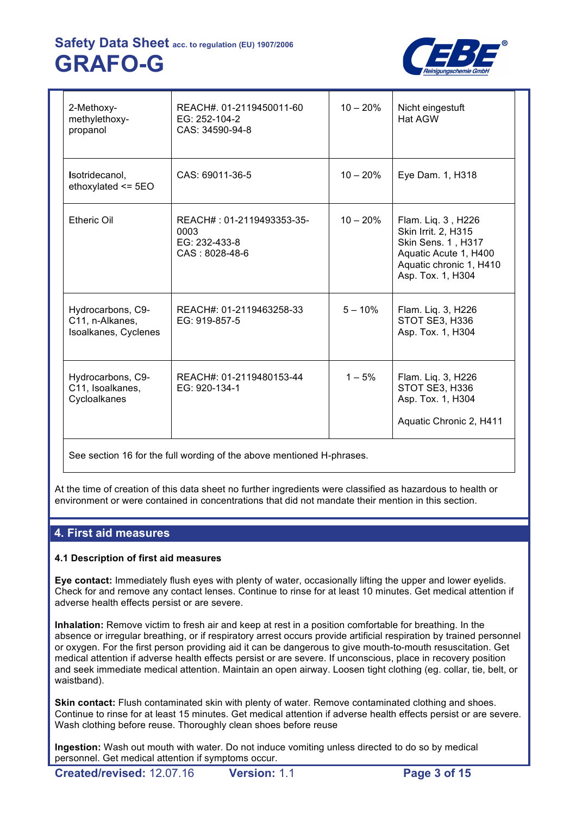

| REACH#. 01-2119450011-60<br>EG: 252-104-2<br>CAS: 34590-94-8         | $10 - 20%$ | Nicht eingestuft<br>Hat AGW                                                                                                              |
|----------------------------------------------------------------------|------------|------------------------------------------------------------------------------------------------------------------------------------------|
| CAS: 69011-36-5                                                      | $10 - 20%$ | Eye Dam. 1, H318                                                                                                                         |
| REACH#: 01-2119493353-35-<br>0003<br>EG: 232-433-8<br>CAS: 8028-48-6 | $10 - 20%$ | Flam. Liq. 3, H226<br>Skin Irrit. 2, H315<br>Skin Sens. 1, H317<br>Aquatic Acute 1, H400<br>Aquatic chronic 1, H410<br>Asp. Tox. 1, H304 |
| REACH#: 01-2119463258-33<br>EG: 919-857-5                            | $5 - 10%$  | Flam. Liq. 3, H226<br>STOT SE3, H336<br>Asp. Tox. 1, H304                                                                                |
| REACH#: 01-2119480153-44<br>EG: 920-134-1                            | $1 - 5%$   | Flam. Liq. 3, H226<br>STOT SE3, H336<br>Asp. Tox. 1, H304<br>Aquatic Chronic 2, H411                                                     |
|                                                                      |            |                                                                                                                                          |

See section 16 for the full wording of the above mentioned H-phrases.

At the time of creation of this data sheet no further ingredients were classified as hazardous to health or environment or were contained in concentrations that did not mandate their mention in this section.

# **4. First aid measures**

# **4.1 Description of first aid measures**

**Eye contact:** Immediately flush eyes with plenty of water, occasionally lifting the upper and lower eyelids. Check for and remove any contact lenses. Continue to rinse for at least 10 minutes. Get medical attention if adverse health effects persist or are severe.

**Inhalation:** Remove victim to fresh air and keep at rest in a position comfortable for breathing. In the absence or irregular breathing, or if respiratory arrest occurs provide artificial respiration by trained personnel or oxygen. For the first person providing aid it can be dangerous to give mouth-to-mouth resuscitation. Get medical attention if adverse health effects persist or are severe. If unconscious, place in recovery position and seek immediate medical attention. Maintain an open airway. Loosen tight clothing (eg. collar, tie, belt, or waistband).

**Skin contact:** Flush contaminated skin with plenty of water. Remove contaminated clothing and shoes. Continue to rinse for at least 15 minutes. Get medical attention if adverse health effects persist or are severe. Wash clothing before reuse. Thoroughly clean shoes before reuse

**Ingestion:** Wash out mouth with water. Do not induce vomiting unless directed to do so by medical personnel. Get medical attention if symptoms occur.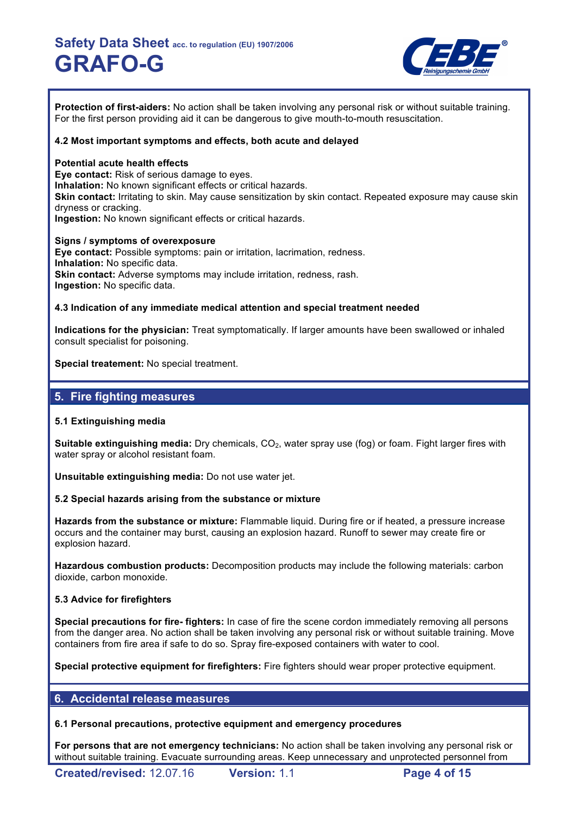

**Protection of first-aiders:** No action shall be taken involving any personal risk or without suitable training. For the first person providing aid it can be dangerous to give mouth-to-mouth resuscitation.

### **4.2 Most important symptoms and effects, both acute and delayed**

#### **Potential acute health effects**

**Eye contact:** Risk of serious damage to eyes. **Inhalation:** No known significant effects or critical hazards. **Skin contact:** Irritating to skin. May cause sensitization by skin contact. Repeated exposure may cause skin dryness or cracking. **Ingestion:** No known significant effects or critical hazards.

**Signs / symptoms of overexposure Eye contact:** Possible symptoms: pain or irritation, lacrimation, redness. **Inhalation:** No specific data. **Skin contact:** Adverse symptoms may include irritation, redness, rash. **Ingestion:** No specific data.

### **4.3 Indication of any immediate medical attention and special treatment needed**

**Indications for the physician:** Treat symptomatically. If larger amounts have been swallowed or inhaled consult specialist for poisoning.

**Special treatement:** No special treatment.

# **5. Fire fighting measures**

## **5.1 Extinguishing media**

**Suitable extinguishing media:** Dry chemicals, CO<sub>2</sub>, water spray use (fog) or foam. Fight larger fires with water spray or alcohol resistant foam.

**Unsuitable extinguishing media:** Do not use water jet.

## **5.2 Special hazards arising from the substance or mixture**

**Hazards from the substance or mixture:** Flammable liquid. During fire or if heated, a pressure increase occurs and the container may burst, causing an explosion hazard. Runoff to sewer may create fire or explosion hazard.

**Hazardous combustion products:** Decomposition products may include the following materials: carbon dioxide, carbon monoxide.

## **5.3 Advice for firefighters**

**Special precautions for fire- fighters:** In case of fire the scene cordon immediately removing all persons from the danger area. No action shall be taken involving any personal risk or without suitable training. Move containers from fire area if safe to do so. Spray fire-exposed containers with water to cool.

**Special protective equipment for firefighters:** Fire fighters should wear proper protective equipment.

# **6. Accidental release measures**

## **6.1 Personal precautions, protective equipment and emergency procedures**

**For persons that are not emergency technicians:** No action shall be taken involving any personal risk or without suitable training. Evacuate surrounding areas. Keep unnecessary and unprotected personnel from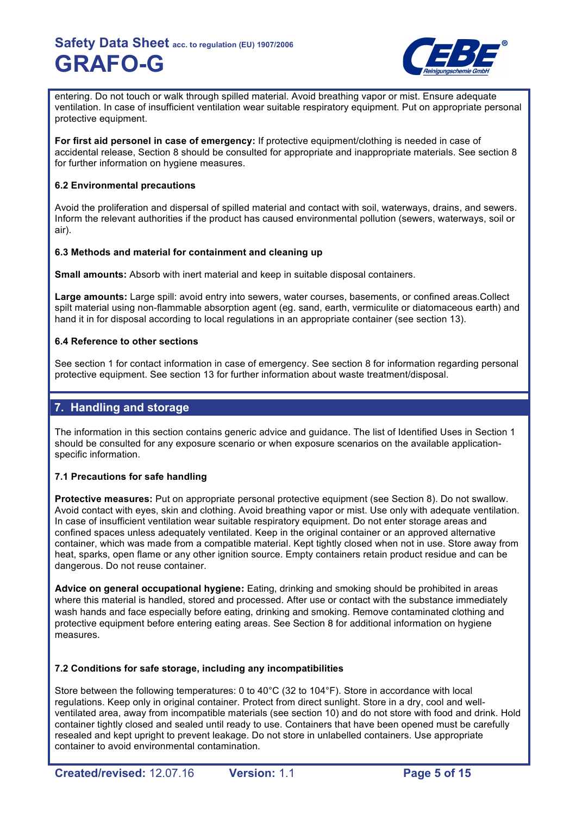

entering. Do not touch or walk through spilled material. Avoid breathing vapor or mist. Ensure adequate ventilation. In case of insufficient ventilation wear suitable respiratory equipment. Put on appropriate personal protective equipment.

**For first aid personel in case of emergency:** If protective equipment/clothing is needed in case of accidental release, Section 8 should be consulted for appropriate and inappropriate materials. See section 8 for further information on hygiene measures.

## **6.2 Environmental precautions**

Avoid the proliferation and dispersal of spilled material and contact with soil, waterways, drains, and sewers. Inform the relevant authorities if the product has caused environmental pollution (sewers, waterways, soil or air).

## **6.3 Methods and material for containment and cleaning up**

**Small amounts:** Absorb with inert material and keep in suitable disposal containers.

**Large amounts:** Large spill: avoid entry into sewers, water courses, basements, or confined areas.Collect spilt material using non-flammable absorption agent (eg. sand, earth, vermiculite or diatomaceous earth) and hand it in for disposal according to local regulations in an appropriate container (see section 13).

## **6.4 Reference to other sections**

See section 1 for contact information in case of emergency. See section 8 for information regarding personal protective equipment. See section 13 for further information about waste treatment/disposal.

# **7. Handling and storage**

The information in this section contains generic advice and guidance. The list of Identified Uses in Section 1 should be consulted for any exposure scenario or when exposure scenarios on the available applicationspecific information.

## **7.1 Precautions for safe handling**

**Protective measures:** Put on appropriate personal protective equipment (see Section 8). Do not swallow. Avoid contact with eyes, skin and clothing. Avoid breathing vapor or mist. Use only with adequate ventilation. In case of insufficient ventilation wear suitable respiratory equipment. Do not enter storage areas and confined spaces unless adequately ventilated. Keep in the original container or an approved alternative container, which was made from a compatible material. Kept tightly closed when not in use. Store away from heat, sparks, open flame or any other ignition source. Empty containers retain product residue and can be dangerous. Do not reuse container.

**Advice on general occupational hygiene:** Eating, drinking and smoking should be prohibited in areas where this material is handled, stored and processed. After use or contact with the substance immediately wash hands and face especially before eating, drinking and smoking. Remove contaminated clothing and protective equipment before entering eating areas. See Section 8 for additional information on hygiene measures.

## **7.2 Conditions for safe storage, including any incompatibilities**

Store between the following temperatures: 0 to 40°C (32 to 104°F). Store in accordance with local regulations. Keep only in original container. Protect from direct sunlight. Store in a dry, cool and wellventilated area, away from incompatible materials (see section 10) and do not store with food and drink. Hold container tightly closed and sealed until ready to use. Containers that have been opened must be carefully resealed and kept upright to prevent leakage. Do not store in unlabelled containers. Use appropriate container to avoid environmental contamination.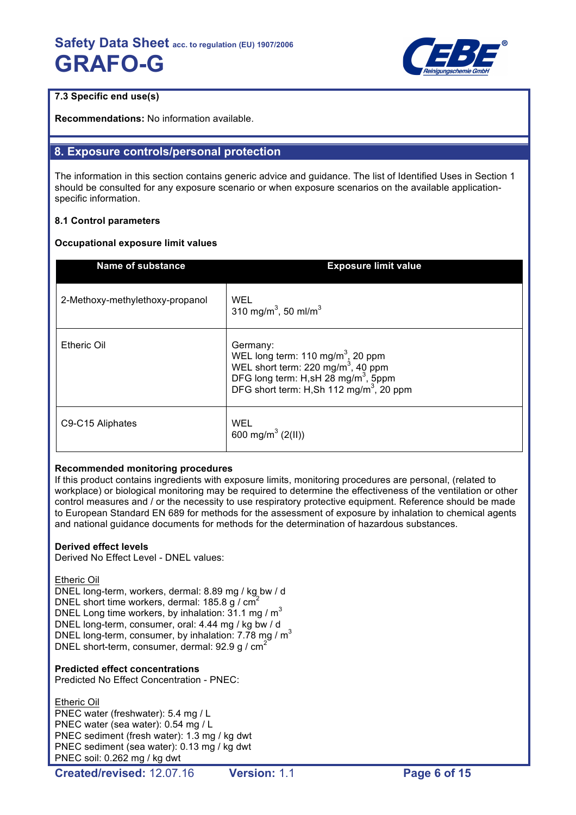

# **7.3 Specific end use(s)**

**Recommendations:** No information available.

# **8. Exposure controls/personal protection**

The information in this section contains generic advice and guidance. The list of Identified Uses in Section 1 should be consulted for any exposure scenario or when exposure scenarios on the available applicationspecific information.

## **8.1 Control parameters**

## **Occupational exposure limit values**

| <b>Name of substance</b>        | <b>Exposure limit value</b>                                                                                                                                                                                           |
|---------------------------------|-----------------------------------------------------------------------------------------------------------------------------------------------------------------------------------------------------------------------|
| 2-Methoxy-methylethoxy-propanol | WEL<br>310 mg/m <sup>3</sup> , 50 ml/m <sup>3</sup>                                                                                                                                                                   |
| <b>Etheric Oil</b>              | Germany:<br>WEL long term: 110 mg/m <sup>3</sup> , 20 ppm<br>WEL short term: 220 mg/m <sup>3</sup> , 40 ppm<br>DFG long term: H,sH 28 mg/m <sup>3</sup> , 5ppm<br>DFG short term: H,Sh 112 mg/m <sup>3</sup> , 20 ppm |
| C9-C15 Aliphates                | WEL<br>600 mg/m <sup>3</sup> (2(II))                                                                                                                                                                                  |

## **Recommended monitoring procedures**

If this product contains ingredients with exposure limits, monitoring procedures are personal, (related to workplace) or biological monitoring may be required to determine the effectiveness of the ventilation or other control measures and / or the necessity to use respiratory protective equipment. Reference should be made to European Standard EN 689 for methods for the assessment of exposure by inhalation to chemical agents and national guidance documents for methods for the determination of hazardous substances.

## **Derived effect levels**

Derived No Effect Level - DNEL values:

Etheric Oil

DNEL long-term, workers, dermal: 8.89 mg / kg bw / d DNEL short time workers, dermal:  $185.8$  g /  $cm<sup>2</sup>$ DNEL Long time workers, by inhalation:  $31.1 \text{ mg/m}^3$ DNEL long-term, consumer, oral: 4.44 mg / kg bw / d DNEL long-term, consumer, by inhalation:  $7.78$  mg / m<sup>3</sup> DNEL short-term, consumer, dermal: 92.9 g / cm<sup>2</sup>

# **Predicted effect concentrations**

Predicted No Effect Concentration - PNEC:

Etheric Oil PNEC water (freshwater): 5.4 mg / L PNEC water (sea water): 0.54 mg / L PNEC sediment (fresh water): 1.3 mg / kg dwt PNEC sediment (sea water): 0.13 mg / kg dwt PNEC soil: 0.262 mg / kg dwt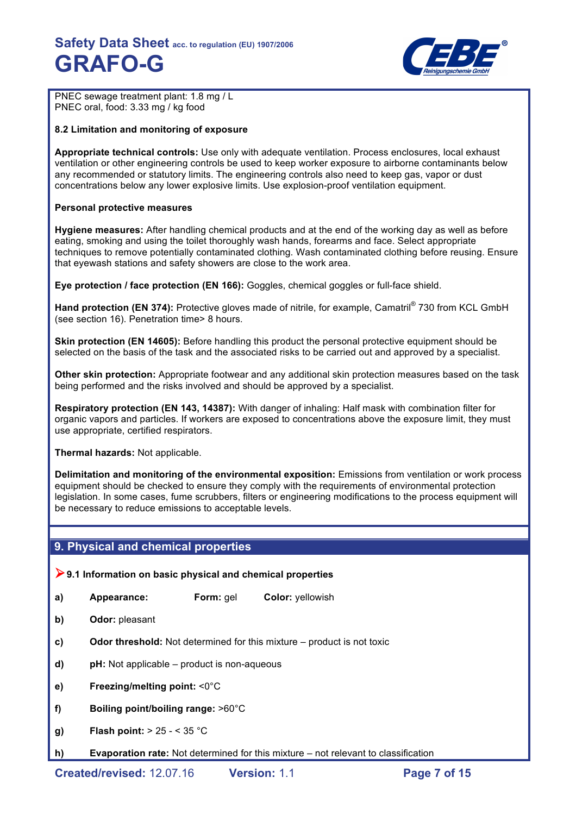

PNEC sewage treatment plant: 1.8 mg / L PNEC oral, food: 3.33 mg / kg food

## **8.2 Limitation and monitoring of exposure**

**Appropriate technical controls:** Use only with adequate ventilation. Process enclosures, local exhaust ventilation or other engineering controls be used to keep worker exposure to airborne contaminants below any recommended or statutory limits. The engineering controls also need to keep gas, vapor or dust concentrations below any lower explosive limits. Use explosion-proof ventilation equipment.

### **Personal protective measures**

**Hygiene measures:** After handling chemical products and at the end of the working day as well as before eating, smoking and using the toilet thoroughly wash hands, forearms and face. Select appropriate techniques to remove potentially contaminated clothing. Wash contaminated clothing before reusing. Ensure that eyewash stations and safety showers are close to the work area.

**Eye protection / face protection (EN 166):** Goggles, chemical goggles or full-face shield.

**Hand protection (EN 374):** Protective gloves made of nitrile, for example, Camatril® 730 from KCL GmbH (see section 16). Penetration time> 8 hours.

**Skin protection (EN 14605):** Before handling this product the personal protective equipment should be selected on the basis of the task and the associated risks to be carried out and approved by a specialist.

**Other skin protection:** Appropriate footwear and any additional skin protection measures based on the task being performed and the risks involved and should be approved by a specialist.

**Respiratory protection (EN 143, 14387):** With danger of inhaling: Half mask with combination filter for organic vapors and particles. If workers are exposed to concentrations above the exposure limit, they must use appropriate, certified respirators.

**Thermal hazards:** Not applicable.

**Delimitation and monitoring of the environmental exposition:** Emissions from ventilation or work process equipment should be checked to ensure they comply with the requirements of environmental protection legislation. In some cases, fume scrubbers, filters or engineering modifications to the process equipment will be necessary to reduce emissions to acceptable levels.

# **9. Physical and chemical properties**

!**9.1 Information on basic physical and chemical properties** 

- **a) Appearance: Form:** gel **Color:** yellowish
- **b) Odor:** pleasant
- **c) Odor threshold:** Not determined for this mixture product is not toxic
- **d) pH:** Not applicable product is non-aqueous
- **e) Freezing/melting point:** <0°C
- **f) Boiling point/boiling range:** >60°C
- **g) Flash point:** > 25 < 35 °C
- **h) Evaporation rate:** Not determined for this mixture not relevant to classification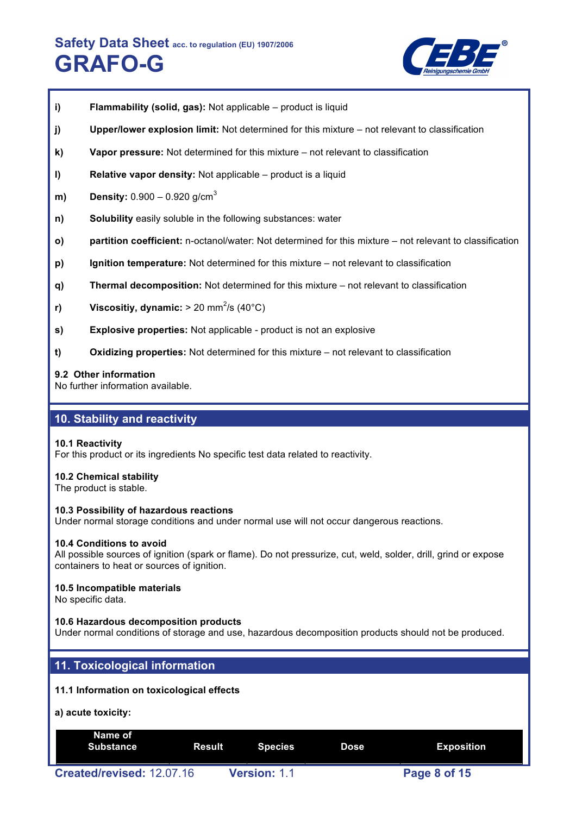

- **i) Flammability (solid, gas):** Not applicable product is liquid
- **j) Upper/lower explosion limit:** Not determined for this mixture not relevant to classification
- **k) Vapor pressure:** Not determined for this mixture not relevant to classification
- **l) Relative vapor density:** Not applicable product is a liquid
- **m) Density:** 0.900 0.920 g/cm<sup>3</sup>
- **n) Solubility** easily soluble in the following substances: water
- **o) partition coefficient:** n-octanol/water: Not determined for this mixture not relevant to classification
- **p) Ignition temperature:** Not determined for this mixture not relevant to classification
- **q) Thermal decomposition:** Not determined for this mixture not relevant to classification
- **r)** Viscositiy, dynamic: > 20 mm<sup>2</sup>/s (40°C)
- **s) Explosive properties:** Not applicable product is not an explosive
- **t) Oxidizing properties:** Not determined for this mixture not relevant to classification

#### **9.2 Other information**

No further information available.

# **10. Stability and reactivity**

#### **10.1 Reactivity**

For this product or its ingredients No specific test data related to reactivity.

#### **10.2 Chemical stability**

The product is stable.

#### **10.3 Possibility of hazardous reactions**

Under normal storage conditions and under normal use will not occur dangerous reactions.

#### **10.4 Conditions to avoid**

All possible sources of ignition (spark or flame). Do not pressurize, cut, weld, solder, drill, grind or expose containers to heat or sources of ignition.

#### **10.5 Incompatible materials**

No specific data.

#### **10.6 Hazardous decomposition products**

Under normal conditions of storage and use, hazardous decomposition products should not be produced.

# **11. Toxicological information**

#### **11.1 Information on toxicological effects**

#### **a) acute toxicity:**

| Name of<br><b>Substance</b> | Result | Species             | Dose | Exposition   |  |
|-----------------------------|--------|---------------------|------|--------------|--|
| Created/revised: 12.07.16   |        | <b>Version: 1.1</b> |      | Page 8 of 15 |  |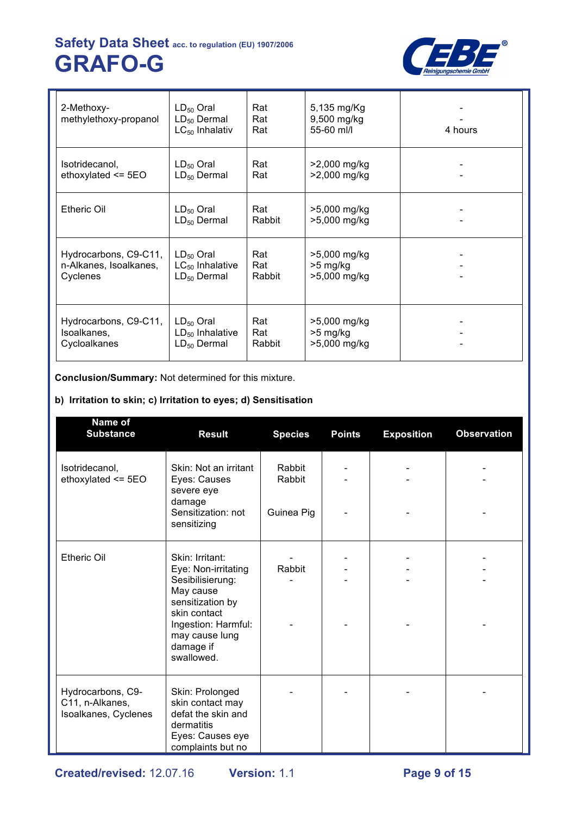

| 2-Methoxy-<br>methylethoxy-propanol | $LD_{50}$ Oral<br>$LD_{50}$ Dermal<br>$LC_{50}$ Inhalativ | Rat<br>Rat<br>Rat | 5,135 mg/Kg<br>9,500 mg/kg<br>55-60 ml/l | 4 hours |
|-------------------------------------|-----------------------------------------------------------|-------------------|------------------------------------------|---------|
| Isotridecanol,                      | $LD_{50}$ Oral                                            | Rat               | >2,000 mg/kg                             |         |
| ethoxylated $\le$ 5EO               | $LD_{50}$ Dermal                                          | Rat               | >2,000 mg/kg                             |         |
| <b>Etheric Oil</b>                  | $LD_{50}$ Oral<br>$LD_{50}$ Dermal                        | Rat<br>Rabbit     | >5,000 mg/kg<br>>5,000 mg/kg             |         |
| Hydrocarbons, C9-C11,               | $LD_{50}$ Oral                                            | Rat               | >5,000 mg/kg                             |         |
| n-Alkanes, Isoalkanes,              | $LC_{50}$ Inhalative                                      | Rat               | >5 mg/kg                                 |         |
| Cyclenes                            | $LD_{50}$ Dermal                                          | Rabbit            | >5,000 mg/kg                             |         |
| Hydrocarbons, C9-C11,               | $LD_{50}$ Oral                                            | Rat               | >5,000 mg/kg                             |         |
| Isoalkanes,                         | $LD_{50}$ Inhalative                                      | Rat               | $>5$ mg/kg                               |         |
| Cycloalkanes                        | $LD_{50}$ Dermal                                          | Rabbit            | >5,000 mg/kg                             |         |

**Conclusion/Summary:** Not determined for this mixture.

# **b) Irritation to skin; c) Irritation to eyes; d) Sensitisation**

| Name of<br><b>Substance</b>                                  | <b>Result</b>                                                                                                                                                                   | <b>Species</b>                 | <b>Points</b> | <b>Exposition</b> | <b>Observation</b> |
|--------------------------------------------------------------|---------------------------------------------------------------------------------------------------------------------------------------------------------------------------------|--------------------------------|---------------|-------------------|--------------------|
| Isotridecanol,<br>ethoxylated $\le$ 5EO                      | Skin: Not an irritant<br>Eyes: Causes<br>severe eye<br>damage<br>Sensitization: not<br>sensitizing                                                                              | Rabbit<br>Rabbit<br>Guinea Pig |               |                   |                    |
| <b>Etheric Oil</b>                                           | Skin: Irritant:<br>Eye: Non-irritating<br>Sesibilisierung:<br>May cause<br>sensitization by<br>skin contact<br>Ingestion: Harmful:<br>may cause lung<br>damage if<br>swallowed. | Rabbit                         |               |                   |                    |
| Hydrocarbons, C9-<br>C11, n-Alkanes,<br>Isoalkanes, Cyclenes | Skin: Prolonged<br>skin contact may<br>defat the skin and<br>dermatitis<br>Eyes: Causes eye<br>complaints but no                                                                |                                |               |                   |                    |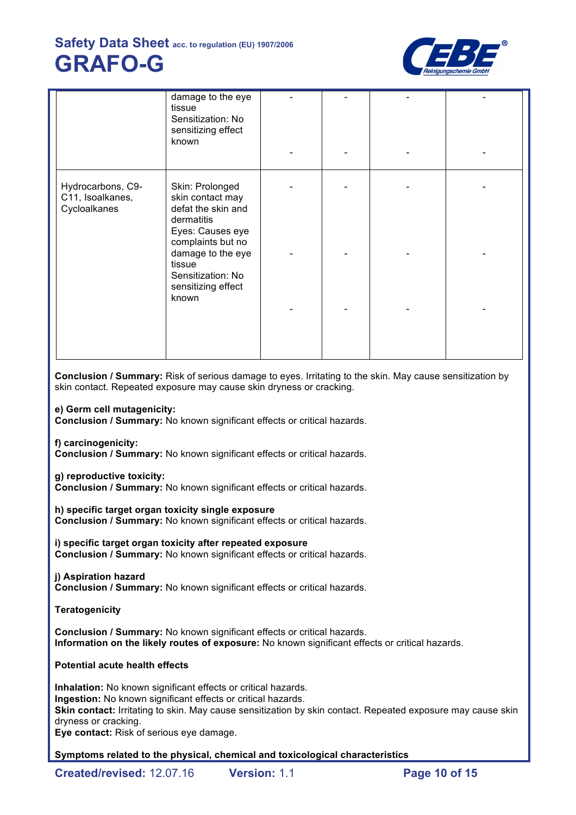

|                                                       | damage to the eye<br>tissue<br>Sensitization: No<br>sensitizing effect<br>known                         |  |  |
|-------------------------------------------------------|---------------------------------------------------------------------------------------------------------|--|--|
| Hydrocarbons, C9-<br>C11, Isoalkanes,<br>Cycloalkanes | Skin: Prolonged<br>skin contact may<br>defat the skin and                                               |  |  |
|                                                       | dermatitis<br>Eyes: Causes eye<br>complaints but no<br>damage to the eye<br>tissue<br>Sensitization: No |  |  |
|                                                       | sensitizing effect<br>known                                                                             |  |  |
|                                                       |                                                                                                         |  |  |

**Conclusion / Summary:** Risk of serious damage to eyes. Irritating to the skin. May cause sensitization by skin contact. Repeated exposure may cause skin dryness or cracking.

### **e) Germ cell mutagenicity:**

**Conclusion / Summary:** No known significant effects or critical hazards.

**f) carcinogenicity:**

**Conclusion / Summary:** No known significant effects or critical hazards.

#### **g) reproductive toxicity:**

**Conclusion / Summary:** No known significant effects or critical hazards.

**h) specific target organ toxicity single exposure**

**Conclusion / Summary:** No known significant effects or critical hazards.

## **i) specific target organ toxicity after repeated exposure**

**Conclusion / Summary:** No known significant effects or critical hazards.

#### **j) Aspiration hazard**

**Conclusion / Summary:** No known significant effects or critical hazards.

## **Teratogenicity**

**Conclusion / Summary:** No known significant effects or critical hazards. **Information on the likely routes of exposure:** No known significant effects or critical hazards.

## **Potential acute health effects**

**Inhalation:** No known significant effects or critical hazards. **Ingestion:** No known significant effects or critical hazards. **Skin contact:** Irritating to skin. May cause sensitization by skin contact. Repeated exposure may cause skin dryness or cracking. **Eye contact:** Risk of serious eye damage.

**Symptoms related to the physical, chemical and toxicological characteristics**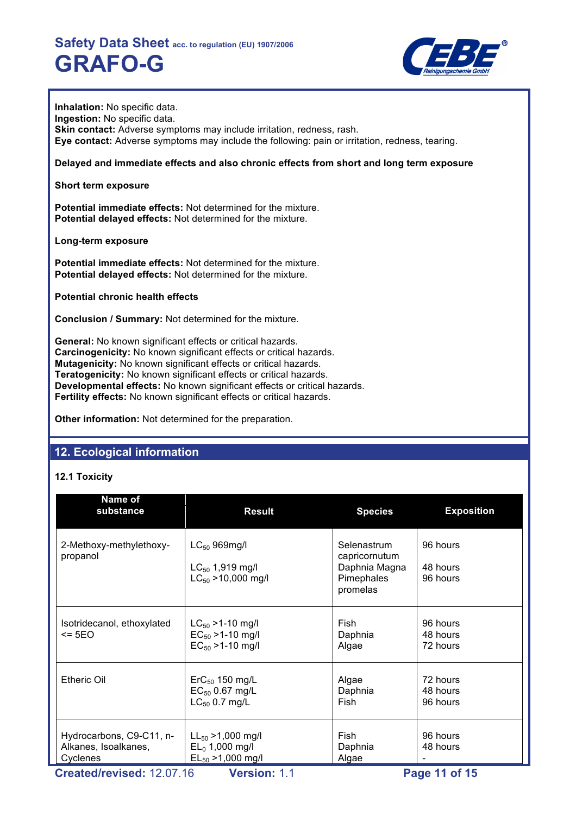

**Inhalation:** No specific data. **Ingestion:** No specific data. **Skin contact:** Adverse symptoms may include irritation, redness, rash. **Eye contact:** Adverse symptoms may include the following: pain or irritation, redness, tearing.

**Delayed and immediate effects and also chronic effects from short and long term exposure**

**Short term exposure**

**Potential immediate effects:** Not determined for the mixture. **Potential delayed effects:** Not determined for the mixture.

**Long-term exposure**

**Potential immediate effects:** Not determined for the mixture. **Potential delayed effects:** Not determined for the mixture.

**Potential chronic health effects**

**Conclusion / Summary:** Not determined for the mixture.

**General:** No known significant effects or critical hazards. **Carcinogenicity:** No known significant effects or critical hazards. **Mutagenicity:** No known significant effects or critical hazards. **Teratogenicity:** No known significant effects or critical hazards. **Developmental effects:** No known significant effects or critical hazards. **Fertility effects:** No known significant effects or critical hazards.

**Other information:** Not determined for the preparation.

# **12. Ecological information**

## **12.1 Toxicity**

| Name of<br>substance                                         | <b>Result</b>                                                             | <b>Species</b>                                                          | <b>Exposition</b>                |
|--------------------------------------------------------------|---------------------------------------------------------------------------|-------------------------------------------------------------------------|----------------------------------|
| 2-Methoxy-methylethoxy-<br>propanol                          | $LC_{50}$ 969mg/l<br>$LC_{50}$ 1,919 mg/l<br>$LC_{50}$ > 10,000 mg/l      | Selenastrum<br>capricornutum<br>Daphnia Magna<br>Pimephales<br>promelas | 96 hours<br>48 hours<br>96 hours |
| Isotridecanol, ethoxylated<br>$\leq$ 5EO                     | $LC_{50}$ > 1-10 mg/l<br>$EC_{50}$ > 1-10 mg/l<br>$EC_{50} > 1 - 10$ mg/l | Fish<br>Daphnia<br>Algae                                                | 96 hours<br>48 hours<br>72 hours |
| <b>Etheric Oil</b>                                           | $\text{ErC}_{50}$ 150 mg/L<br>$EC_{50}$ 0.67 mg/L<br>$LC_{50}$ 0.7 mg/L   | Algae<br>Daphnia<br>Fish                                                | 72 hours<br>48 hours<br>96 hours |
| Hydrocarbons, C9-C11, n-<br>Alkanes, Isoalkanes,<br>Cyclenes | $LL_{50} > 1,000$ mg/l<br>$EL_0$ 1,000 mg/l<br>$EL_{50} > 1,000$ mg/l     | Fish<br>Daphnia<br>Algae                                                | 96 hours<br>48 hours             |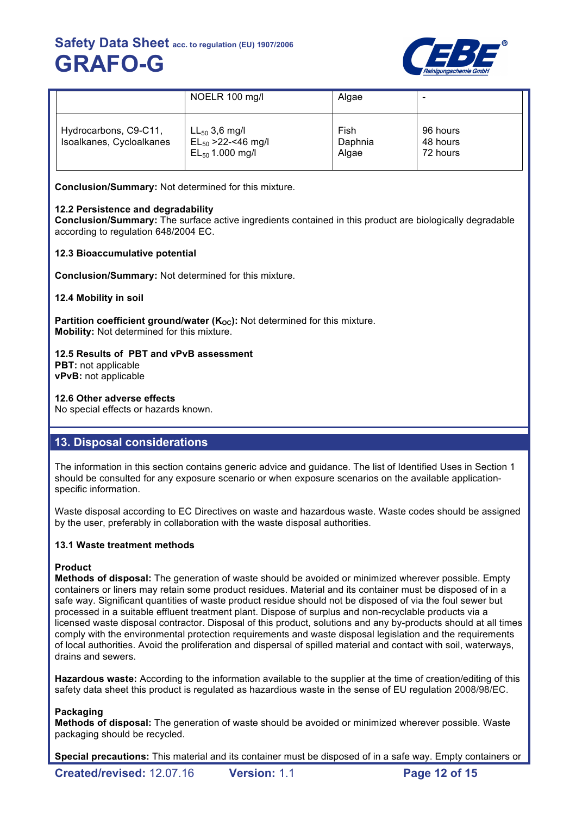

|                                                   | NOELR 100 mg/l                                                         | Algae                    | $\overline{\phantom{0}}$         |
|---------------------------------------------------|------------------------------------------------------------------------|--------------------------|----------------------------------|
| Hydrocarbons, C9-C11,<br>Isoalkanes, Cycloalkanes | $LL_{50}$ 3,6 mg/l<br>$EL_{50} > 22 - 46$ mg/l<br>$EL_{50}$ 1.000 mg/l | Fish<br>Daphnia<br>Algae | 96 hours<br>48 hours<br>72 hours |

**Conclusion/Summary:** Not determined for this mixture.

## **12.2 Persistence and degradability**

**Conclusion/Summary:** The surface active ingredients contained in this product are biologically degradable according to regulation 648/2004 EC.

## **12.3 Bioaccumulative potential**

**Conclusion/Summary:** Not determined for this mixture.

**12.4 Mobility in soil**

**Partition coefficient ground/water (K<sub>OC</sub>):** Not determined for this mixture. **Mobility:** Not determined for this mixture.

## **12.5 Results of PBT and vPvB assessment**

**PBT:** not applicable **vPvB:** not applicable

## **12.6 Other adverse effects**

No special effects or hazards known.

# **13. Disposal considerations**

The information in this section contains generic advice and guidance. The list of Identified Uses in Section 1 should be consulted for any exposure scenario or when exposure scenarios on the available applicationspecific information.

Waste disposal according to EC Directives on waste and hazardous waste. Waste codes should be assigned by the user, preferably in collaboration with the waste disposal authorities.

## **13.1 Waste treatment methods**

## **Product**

**Methods of disposal:** The generation of waste should be avoided or minimized wherever possible. Empty containers or liners may retain some product residues. Material and its container must be disposed of in a safe way. Significant quantities of waste product residue should not be disposed of via the foul sewer but processed in a suitable effluent treatment plant. Dispose of surplus and non-recyclable products via a licensed waste disposal contractor. Disposal of this product, solutions and any by-products should at all times comply with the environmental protection requirements and waste disposal legislation and the requirements of local authorities. Avoid the proliferation and dispersal of spilled material and contact with soil, waterways, drains and sewers.

**Hazardous waste:** According to the information available to the supplier at the time of creation/editing of this safety data sheet this product is regulated as hazardious waste in the sense of EU regulation 2008/98/EC.

## **Packaging**

**Methods of disposal:** The generation of waste should be avoided or minimized wherever possible. Waste packaging should be recycled.

**Special precautions:** This material and its container must be disposed of in a safe way. Empty containers or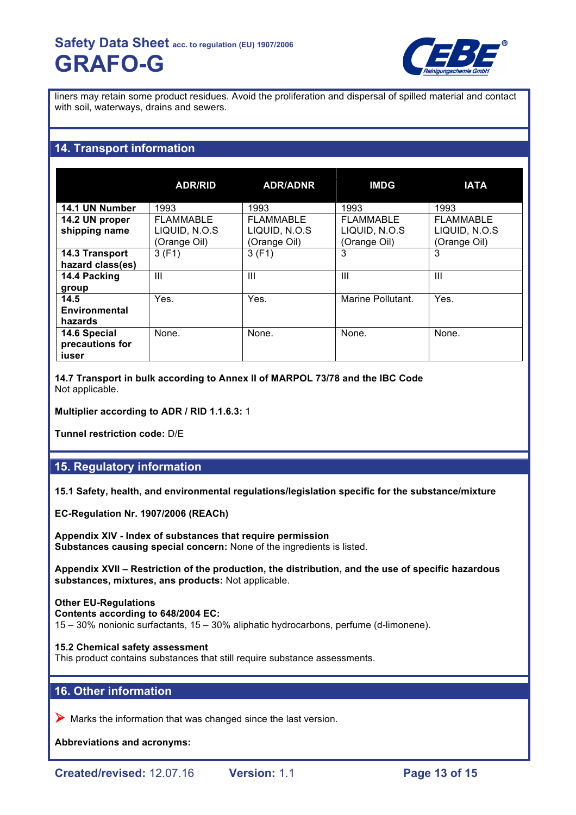

liners may retain some product residues. Avoid the proliferation and dispersal of spilled material and contact with soil, waterways, drains and sewers.

# **14. Transport information**

|                                          | <b>ADR/RID</b>                                    | <b>ADR/ADNR</b>                                   | <b>IMDG</b>                                       | <b>IATA</b>                                       |
|------------------------------------------|---------------------------------------------------|---------------------------------------------------|---------------------------------------------------|---------------------------------------------------|
| 14.1 UN Number                           | 1993                                              | 1993                                              | 1993                                              | 1993                                              |
| 14.2 UN proper<br>shipping name          | <b>FLAMMABLE</b><br>LIQUID, N.O.S<br>(Orange Oil) | <b>FLAMMABLE</b><br>LIQUID, N.O.S<br>(Orange Oil) | <b>FLAMMABLE</b><br>LIQUID, N.O.S<br>(Orange Oil) | <b>FLAMMABLE</b><br>LIQUID, N.O.S<br>(Orange Oil) |
| 14.3 Transport<br>hazard class(es)       | 3(F1)                                             | 3(F1)                                             | 3                                                 | 3                                                 |
| 14.4 Packing<br>group                    | Ш                                                 | $\mathbf{III}$                                    | Ш                                                 | Ш                                                 |
| 14.5<br>Environmental<br>hazards         | Yes.                                              | Yes.                                              | Marine Pollutant.                                 | Yes.                                              |
| 14.6 Special<br>precautions for<br>iuser | None.                                             | None.                                             | None.                                             | None.                                             |

**14.7 Transport in bulk according to Annex II of MARPOL 73/78 and the IBC Code** Not applicable.

**Multiplier according to ADR / RID 1.1.6.3:** 1

**Tunnel restriction code:** D/E

# **15. Regulatory information**

**15.1 Safety, health, and environmental regulations/legislation specific for the substance/mixture**

**EC-Regulation Nr. 1907/2006 (REACh)**

**Appendix XIV - Index of substances that require permission Substances causing special concern:** None of the ingredients is listed.

**Appendix XVII – Restriction of the production, the distribution, and the use of specific hazardous substances, mixtures, ans products:** Not applicable.

#### **Other EU-Regulations**

**Contents according to 648/2004 EC:**

15 – 30% nonionic surfactants, 15 – 30% aliphatic hydrocarbons, perfume (d-limonene).

#### **15.2 Chemical safety assessment**

This product contains substances that still require substance assessments.

## **16. Other information**

 $\triangleright$  Marks the information that was changed since the last version.

**Abbreviations and acronyms:**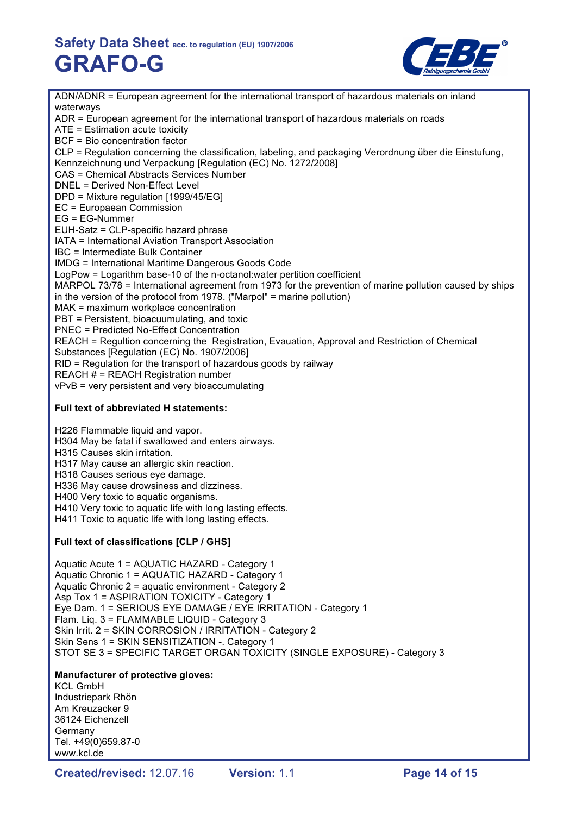

ADN/ADNR = European agreement for the international transport of hazardous materials on inland waterways ADR = European agreement for the international transport of hazardous materials on roads ATE = Estimation acute toxicity BCF = Bio concentration factor CLP = Regulation concerning the classification, labeling, and packaging Verordnung über die Einstufung, Kennzeichnung und Verpackung [Regulation (EC) No. 1272/2008] CAS = Chemical Abstracts Services Number DNEL = Derived Non-Effect Level DPD = Mixture regulation [1999/45/EG] EC = Europaean Commission EG = EG-Nummer EUH-Satz = CLP-specific hazard phrase IATA = International Aviation Transport Association IBC = Intermediate Bulk Container IMDG = International Maritime Dangerous Goods Code LogPow = Logarithm base-10 of the n-octanol:water pertition coefficient MARPOL 73/78 = International agreement from 1973 for the prevention of marine pollution caused by ships in the version of the protocol from 1978. ("Marpol" = marine pollution) MAK = maximum workplace concentration PBT = Persistent, bioacuumulating, and toxic PNEC = Predicted No-Effect Concentration REACH = Regultion concerning the Registration, Evauation, Approval and Restriction of Chemical Substances [Regulation (EC) No. 1907/2006] RID = Regulation for the transport of hazardous goods by railway REACH # = REACH Registration number vPvB = very persistent and very bioaccumulating **Full text of abbreviated H statements:** H226 Flammable liquid and vapor. H304 May be fatal if swallowed and enters airways. H315 Causes skin irritation. H317 May cause an allergic skin reaction. H318 Causes serious eye damage. H336 May cause drowsiness and dizziness. H400 Very toxic to aquatic organisms. H410 Very toxic to aquatic life with long lasting effects. H411 Toxic to aquatic life with long lasting effects. **Full text of classifications [CLP / GHS]** Aquatic Acute 1 = AQUATIC HAZARD - Category 1 Aquatic Chronic 1 = AQUATIC HAZARD - Category 1 Aquatic Chronic 2 = aquatic environment - Category 2 Asp Tox 1 = ASPIRATION TOXICITY - Category 1 Eye Dam. 1 = SERIOUS EYE DAMAGE / EYE IRRITATION - Category 1 Flam. Liq. 3 = FLAMMABLE LIQUID - Category 3 Skin Irrit. 2 = SKIN CORROSION / IRRITATION - Category 2 Skin Sens 1 = SKIN SENSITIZATION -. Category 1 STOT SE 3 = SPECIFIC TARGET ORGAN TOXICITY (SINGLE EXPOSURE) - Category 3 **Manufacturer of protective gloves:** KCL GmbH Industriepark Rhön Am Kreuzacker 9 36124 Eichenzell Germany Tel. +49(0)659.87-0 www.kcl.de

**Created/revised:** 12.07.16 **Version:** 1.1 **Page 14 of 15**